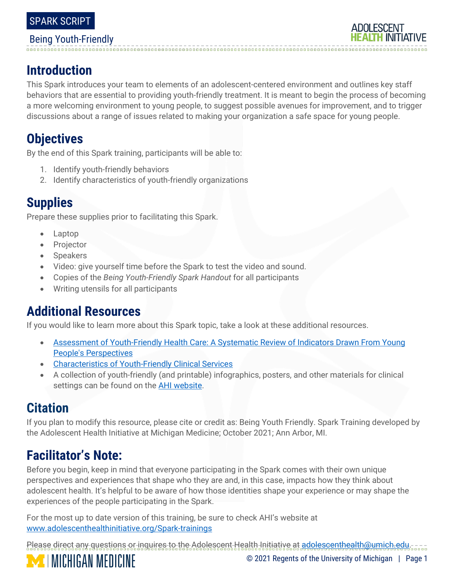#### Being Youth-Friendly

# **ADOLESCENT**

## **Introduction**

This Spark introduces your team to elements of an adolescent-centered environment and outlines key staff behaviors that are essential to providing youth-friendly treatment. It is meant to begin the process of becoming a more welcoming environment to young people, to suggest possible avenues for improvement, and to trigger discussions about a range of issues related to making your organization a safe space for young people.

## **Objectives**

By the end of this Spark training, participants will be able to:

- 1. Identify youth-friendly behaviors
- 2. Identify characteristics of youth-friendly organizations

## **Supplies**

Prepare these supplies prior to facilitating this Spark.

- Laptop
- **Projector**
- Speakers
- Video: give yourself time before the Spark to test the video and sound.
- Copies of the *Being Youth-Friendly Spark Handout* for all participants
- Writing utensils for all participants

## **Additional Resources**

If you would like to learn more about this Spark topic, take a look at these additional resources.

- Assessment of Youth-Friendly [Health Care: A Systematic Review of Indicators Drawn From Young](http://www.sciencedirect.com/science/article/pii/S1054139X13000438?via%3Dihub)  [People's Perspectives](http://www.sciencedirect.com/science/article/pii/S1054139X13000438?via%3Dihub)
- [Characteristics of Youth-Friendly Clinical Services](http://www.healthyteennetwork.org/wp-content/uploads/2015/04/TipSheet_CharacteristicsYouth-FriendlyClinicalServices.pdf)
- A collection of youth-friendly (and printable) infographics, posters, and other materials for clinical settings can be found on the **AHI website**.

### **Citation**

If you plan to modify this resource, please cite or credit as: Being Youth Friendly. Spark Training developed by the Adolescent Health Initiative at Michigan Medicine; October 2021; Ann Arbor, MI.

## **Facilitator's Note:**

Before you begin, keep in mind that everyone participating in the Spark comes with their own unique perspectives and experiences that shape who they are and, in this case, impacts how they think about adolescent health. It's helpful to be aware of how those identities shape your experience or may shape the experiences of the people participating in the Spark.

For the most up to date version of this training, be sure to check AHI's website at [www.adolescenthealthinitiative.org/Spark-trainings](http://www.adolescenthealthinitiative.org/Spark-trainings)

Please direct any questions or inquires to the Adolescent Health Initiative at [adolescenthealth@umich.edu.](mailto:adolescenthealth@umich.edu) **MICHIGAN MEDICINE** © 2021 Regents of the University of Michigan | Page 1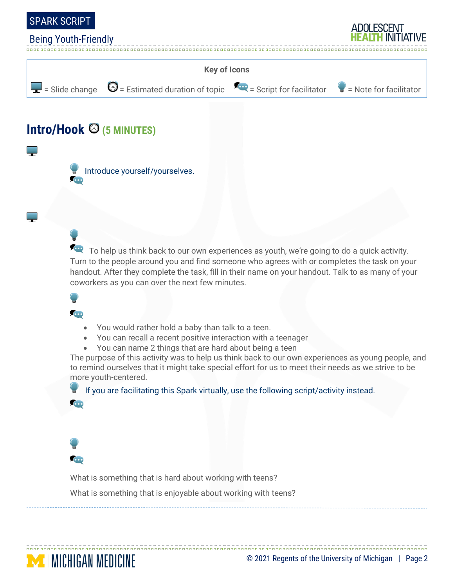

#### Being Youth-Friendly





**For** To help us think back to our own experiences as youth, we're going to do a quick activity. Turn to the people around you and find someone who agrees with or completes the task on your handout. After they complete the task, fill in their name on your handout. Talk to as many of your coworkers as you can over the next few minutes.

#### **COD**

- You would rather hold a baby than talk to a teen.
- You can recall a recent positive interaction with a teenager
- You can name 2 things that are hard about being a teen

The purpose of this activity was to help us think back to our own experiences as young people, and to remind ourselves that it might take special effort for us to meet their needs as we strive to be more youth-centered.

 If you are facilitating this Spark virtually, use the following script/activity instead.  $\bullet$ 



What is something that is hard about working with teens?

What is something that is enjoyable about working with teens?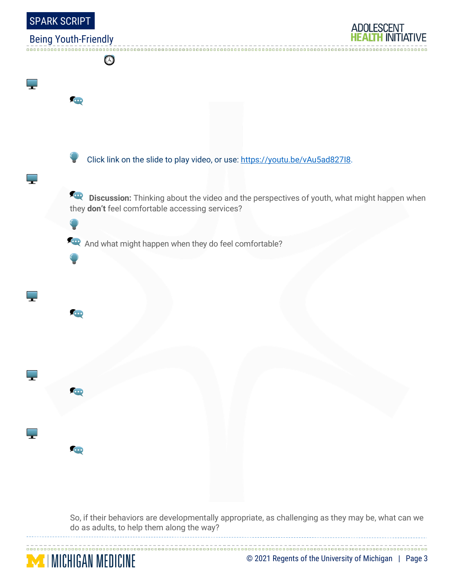

So, if their behaviors are developmentally appropriate, as challenging as they may be, what can we do as adults, to help them along the way?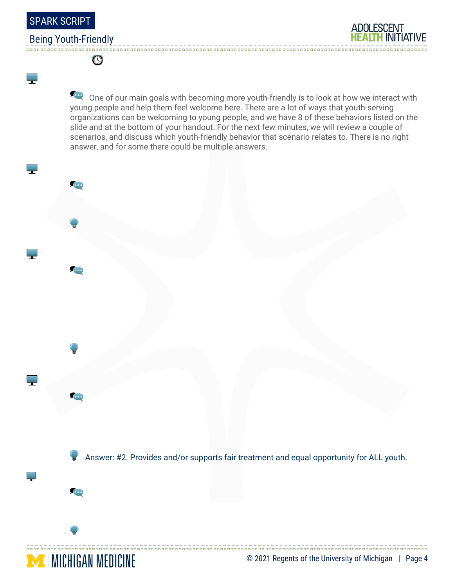SPARK SCRIPT

٣

#### Being Youth-Friendly

Ø

**For** One of our main goals with becoming more youth-friendly is to look at how we interact with young people and help them feel welcome here. There are a lot of ways that youth-serving organizations can be welcoming to young people, and we have 8 of these behaviors listed on the slide and at the bottom of your handout. For the next few minutes, we will review a couple of scenarios, and discuss which youth-friendly behavior that scenario relates to. There is no right answer, and for some there could be multiple answers.

Answer: #2. Provides and/or supports fair treatment and equal opportunity for ALL youth.



n.

Œ

H

**ADOLESCENT**